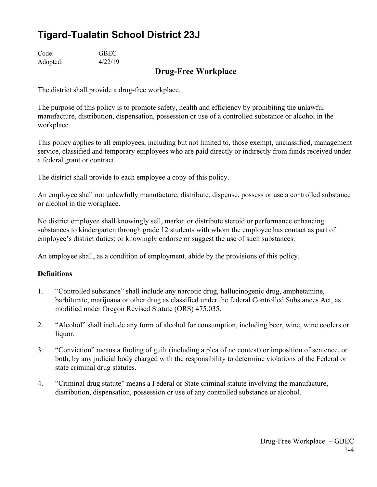# **Tigard-Tualatin School District 23J**

Code: GBEC Adopted: 4/22/19

# **Drug-Free Workplace**

The district shall provide a drug-free workplace.

The purpose of this policy is to promote safety, health and efficiency by prohibiting the unlawful manufacture, distribution, dispensation, possession or use of a controlled substance or alcohol in the workplace.

This policy applies to all employees, including but not limited to, those exempt, unclassified, management service, classified and temporary employees who are paid directly or indirectly from funds received under a federal grant or contract.

The district shall provide to each employee a copy of this policy.

An employee shall not unlawfully manufacture, distribute, dispense, possess or use a controlled substance or alcohol in the workplace.

No district employee shall knowingly sell, market or distribute steroid or performance enhancing substances to kindergarten through grade 12 students with whom the employee has contact as part of employee's district duties; or knowingly endorse or suggest the use of such substances.

An employee shall, as a condition of employment, abide by the provisions of this policy.

## **Definitions**

- 1. "Controlled substance" shall include any narcotic drug, hallucinogenic drug, amphetamine, barbiturate, marijuana or other drug as classified under the federal Controlled Substances Act, as modified under Oregon Revised Statute (ORS) 475.035.
- 2. "Alcohol" shall include any form of alcohol for consumption, including beer, wine, wine coolers or liquor.
- 3. "Conviction" means a finding of guilt (including a plea of no contest) or imposition of sentence, or both, by any judicial body charged with the responsibility to determine violations of the Federal or state criminal drug statutes.
- 4. "Criminal drug statute" means a Federal or State criminal statute involving the manufacture, distribution, dispensation, possession or use of any controlled substance or alcohol.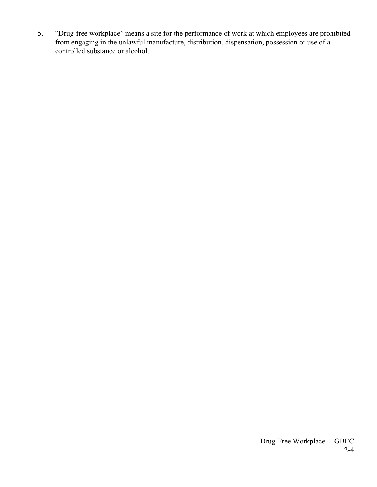5. "Drug-free workplace" means a site for the performance of work at which employees are prohibited from engaging in the unlawful manufacture, distribution, dispensation, possession or use of a controlled substance or alcohol.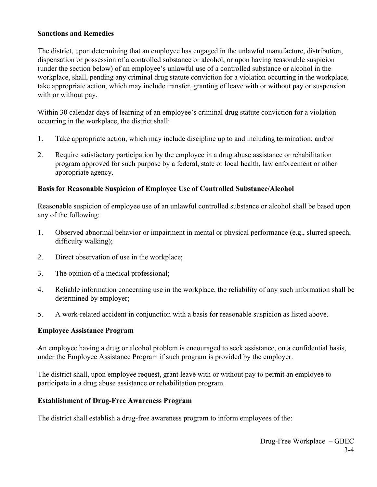#### **Sanctions and Remedies**

The district, upon determining that an employee has engaged in the unlawful manufacture, distribution, dispensation or possession of a controlled substance or alcohol, or upon having reasonable suspicion (under the section below) of an employee's unlawful use of a controlled substance or alcohol in the workplace, shall, pending any criminal drug statute conviction for a violation occurring in the workplace, take appropriate action, which may include transfer, granting of leave with or without pay or suspension with or without pay.

Within 30 calendar days of learning of an employee's criminal drug statute conviction for a violation occurring in the workplace, the district shall:

- 1. Take appropriate action, which may include discipline up to and including termination; and/or
- 2. Require satisfactory participation by the employee in a drug abuse assistance or rehabilitation program approved for such purpose by a federal, state or local health, law enforcement or other appropriate agency.

### **Basis for Reasonable Suspicion of Employee Use of Controlled Substance/Alcohol**

Reasonable suspicion of employee use of an unlawful controlled substance or alcohol shall be based upon any of the following:

- 1. Observed abnormal behavior or impairment in mental or physical performance (e.g., slurred speech, difficulty walking);
- 2. Direct observation of use in the workplace;
- 3. The opinion of a medical professional;
- 4. Reliable information concerning use in the workplace, the reliability of any such information shall be determined by employer;
- 5. A work-related accident in conjunction with a basis for reasonable suspicion as listed above.

#### **Employee Assistance Program**

An employee having a drug or alcohol problem is encouraged to seek assistance, on a confidential basis, under the Employee Assistance Program if such program is provided by the employer.

The district shall, upon employee request, grant leave with or without pay to permit an employee to participate in a drug abuse assistance or rehabilitation program.

#### **Establishment of Drug-Free Awareness Program**

The district shall establish a drug-free awareness program to inform employees of the: